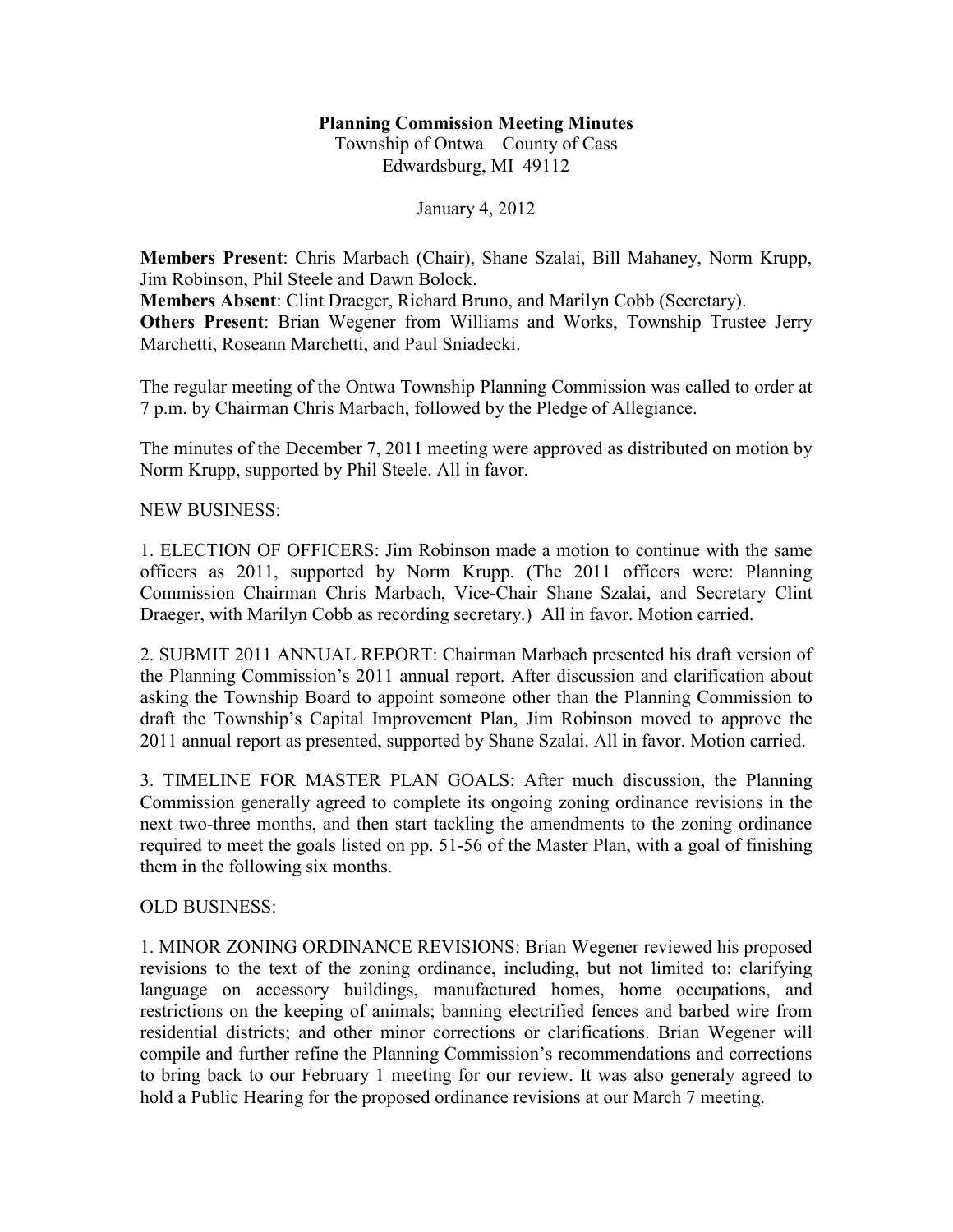## **Planning Commission Meeting Minutes**

Township of Ontwa—County of Cass Edwardsburg, MI 49112

January 4, 2012

**Members Present**: Chris Marbach (Chair), Shane Szalai, Bill Mahaney, Norm Krupp, Jim Robinson, Phil Steele and Dawn Bolock. **Members Absent**: Clint Draeger, Richard Bruno, and Marilyn Cobb (Secretary). **Others Present**: Brian Wegener from Williams and Works, Township Trustee Jerry Marchetti, Roseann Marchetti, and Paul Sniadecki.

The regular meeting of the Ontwa Township Planning Commission was called to order at 7 p.m. by Chairman Chris Marbach, followed by the Pledge of Allegiance.

The minutes of the December 7, 2011 meeting were approved as distributed on motion by Norm Krupp, supported by Phil Steele. All in favor.

## NEW BUSINESS:

1. ELECTION OF OFFICERS: Jim Robinson made a motion to continue with the same officers as 2011, supported by Norm Krupp. (The 2011 officers were: Planning Commission Chairman Chris Marbach, Vice-Chair Shane Szalai, and Secretary Clint Draeger, with Marilyn Cobb as recording secretary.) All in favor. Motion carried.

2. SUBMIT 2011 ANNUAL REPORT: Chairman Marbach presented his draft version of the Planning Commission's 2011 annual report. After discussion and clarification about asking the Township Board to appoint someone other than the Planning Commission to draft the Township's Capital Improvement Plan, Jim Robinson moved to approve the 2011 annual report as presented, supported by Shane Szalai. All in favor. Motion carried.

3. TIMELINE FOR MASTER PLAN GOALS: After much discussion, the Planning Commission generally agreed to complete its ongoing zoning ordinance revisions in the next two-three months, and then start tackling the amendments to the zoning ordinance required to meet the goals listed on pp. 51-56 of the Master Plan, with a goal of finishing them in the following six months.

## OLD BUSINESS:

1. MINOR ZONING ORDINANCE REVISIONS: Brian Wegener reviewed his proposed revisions to the text of the zoning ordinance, including, but not limited to: clarifying language on accessory buildings, manufactured homes, home occupations, and restrictions on the keeping of animals; banning electrified fences and barbed wire from residential districts; and other minor corrections or clarifications. Brian Wegener will compile and further refine the Planning Commission's recommendations and corrections to bring back to our February 1 meeting for our review. It was also generaly agreed to hold a Public Hearing for the proposed ordinance revisions at our March 7 meeting.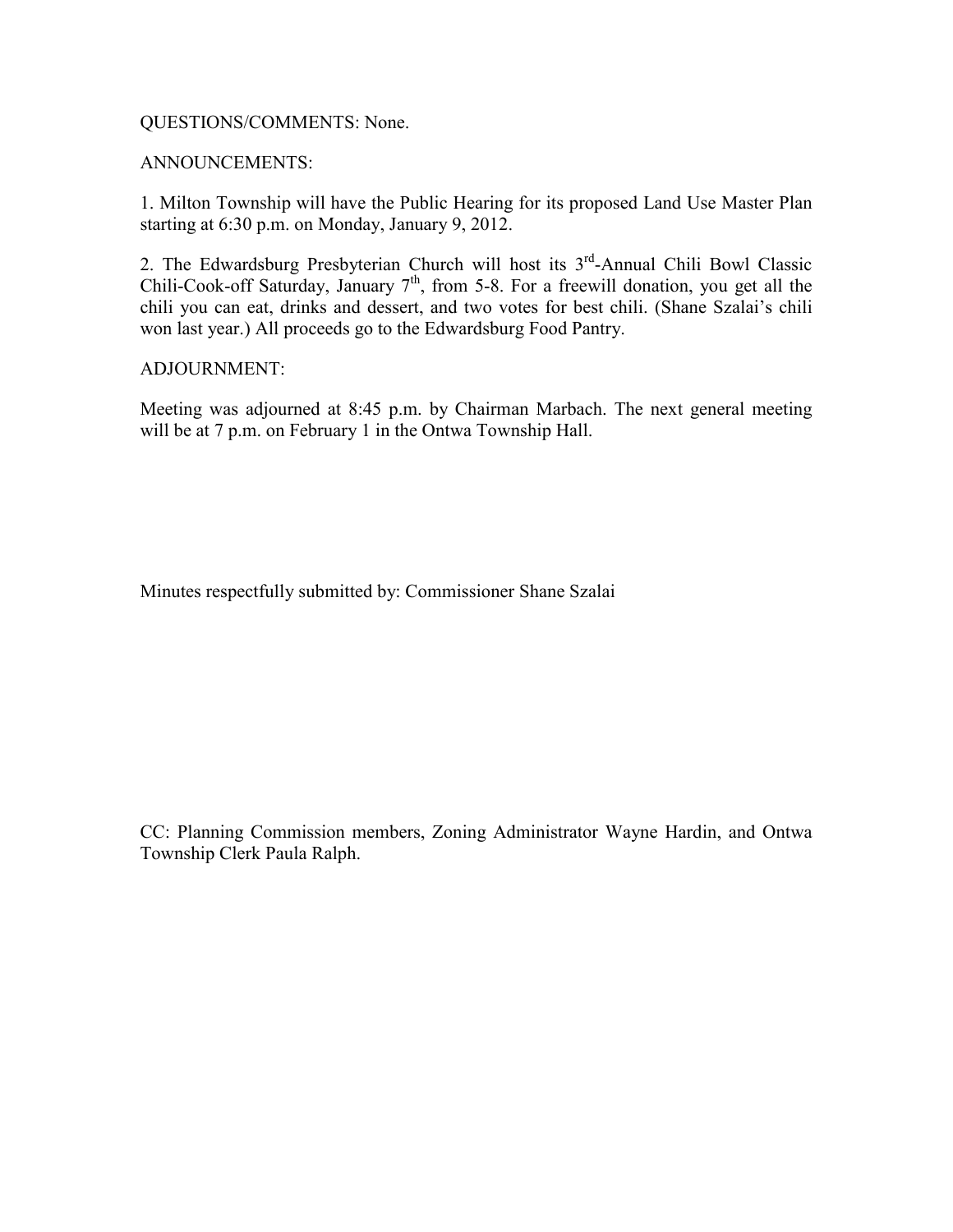## QUESTIONS/COMMENTS: None.

## ANNOUNCEMENTS:

1. Milton Township will have the Public Hearing for its proposed Land Use Master Plan starting at 6:30 p.m. on Monday, January 9, 2012.

2. The Edwardsburg Presbyterian Church will host its  $3<sup>rd</sup>$ -Annual Chili Bowl Classic Chili-Cook-off Saturday, January  $7<sup>th</sup>$ , from 5-8. For a freewill donation, you get all the chili you can eat, drinks and dessert, and two votes for best chili. (Shane Szalai's chili won last year.) All proceeds go to the Edwardsburg Food Pantry.

### ADJOURNMENT:

Meeting was adjourned at 8:45 p.m. by Chairman Marbach. The next general meeting will be at 7 p.m. on February 1 in the Ontwa Township Hall.

Minutes respectfully submitted by: Commissioner Shane Szalai

CC: Planning Commission members, Zoning Administrator Wayne Hardin, and Ontwa Township Clerk Paula Ralph.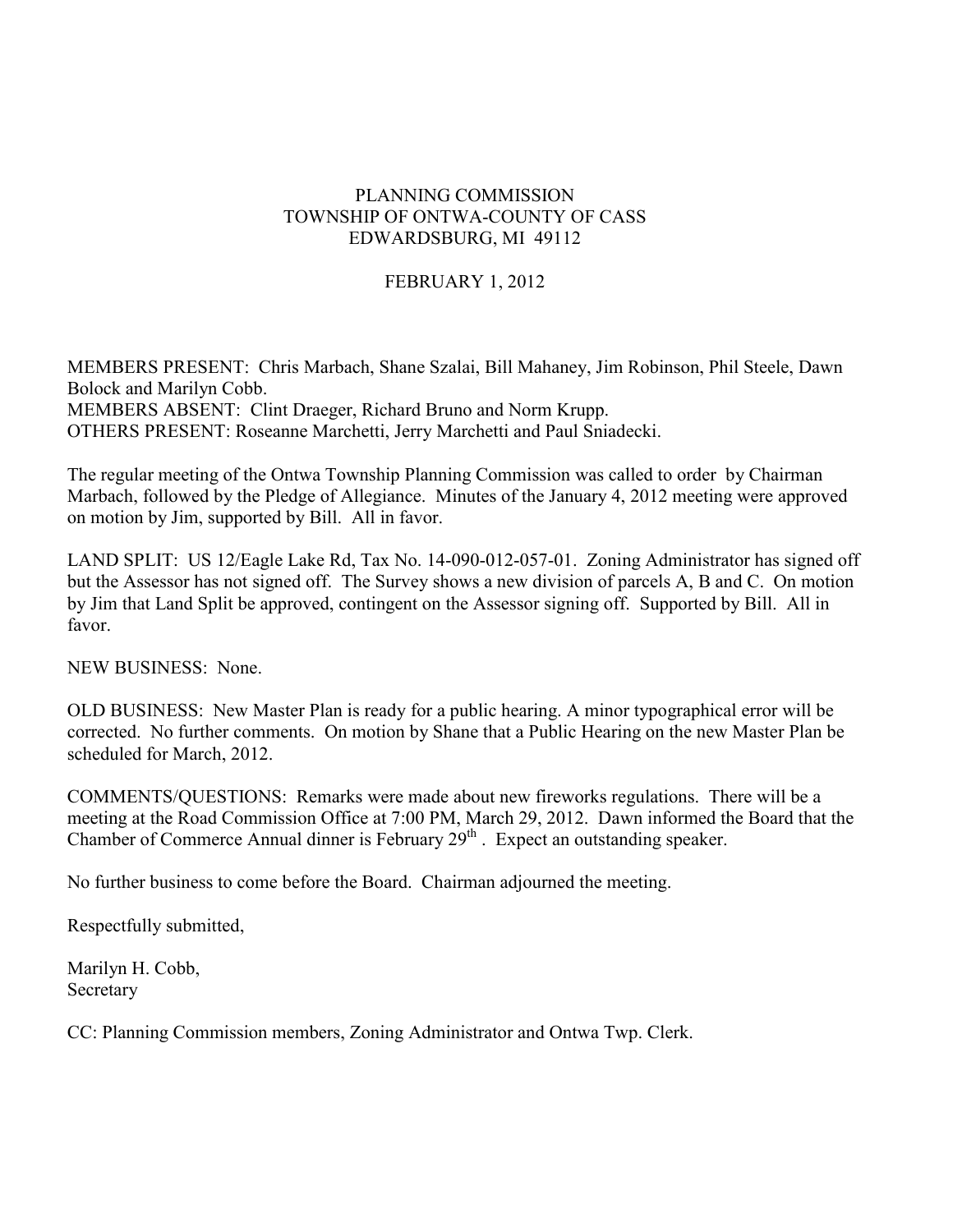# PLANNING COMMISSION TOWNSHIP OF ONTWA-COUNTY OF CASS EDWARDSBURG, MI 49112

# FEBRUARY 1, 2012

MEMBERS PRESENT: Chris Marbach, Shane Szalai, Bill Mahaney, Jim Robinson, Phil Steele, Dawn Bolock and Marilyn Cobb. MEMBERS ABSENT: Clint Draeger, Richard Bruno and Norm Krupp.

OTHERS PRESENT: Roseanne Marchetti, Jerry Marchetti and Paul Sniadecki.

The regular meeting of the Ontwa Township Planning Commission was called to order by Chairman Marbach, followed by the Pledge of Allegiance. Minutes of the January 4, 2012 meeting were approved on motion by Jim, supported by Bill. All in favor.

LAND SPLIT: US 12/Eagle Lake Rd, Tax No. 14-090-012-057-01. Zoning Administrator has signed off but the Assessor has not signed off. The Survey shows a new division of parcels A, B and C. On motion by Jim that Land Split be approved, contingent on the Assessor signing off. Supported by Bill. All in favor.

NEW BUSINESS: None.

OLD BUSINESS: New Master Plan is ready for a public hearing. A minor typographical error will be corrected. No further comments. On motion by Shane that a Public Hearing on the new Master Plan be scheduled for March, 2012.

COMMENTS/QUESTIONS: Remarks were made about new fireworks regulations. There will be a meeting at the Road Commission Office at 7:00 PM, March 29, 2012. Dawn informed the Board that the Chamber of Commerce Annual dinner is February  $29<sup>th</sup>$ . Expect an outstanding speaker.

No further business to come before the Board. Chairman adjourned the meeting.

Respectfully submitted,

Marilyn H. Cobb, Secretary

CC: Planning Commission members, Zoning Administrator and Ontwa Twp. Clerk.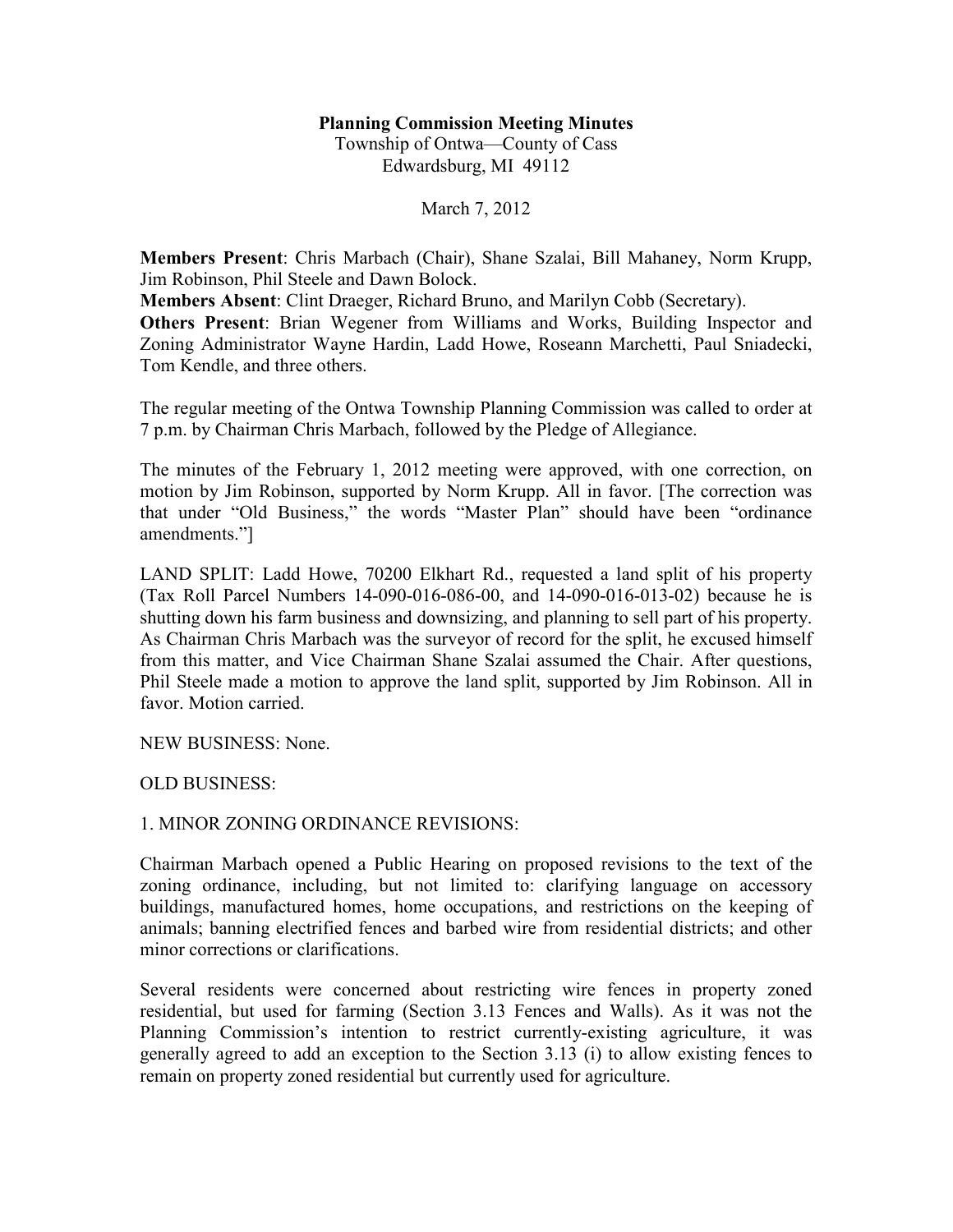## **Planning Commission Meeting Minutes**

Township of Ontwa—County of Cass Edwardsburg, MI 49112

March 7, 2012

**Members Present**: Chris Marbach (Chair), Shane Szalai, Bill Mahaney, Norm Krupp, Jim Robinson, Phil Steele and Dawn Bolock.

**Members Absent**: Clint Draeger, Richard Bruno, and Marilyn Cobb (Secretary).

**Others Present**: Brian Wegener from Williams and Works, Building Inspector and Zoning Administrator Wayne Hardin, Ladd Howe, Roseann Marchetti, Paul Sniadecki, Tom Kendle, and three others.

The regular meeting of the Ontwa Township Planning Commission was called to order at 7 p.m. by Chairman Chris Marbach, followed by the Pledge of Allegiance.

The minutes of the February 1, 2012 meeting were approved, with one correction, on motion by Jim Robinson, supported by Norm Krupp. All in favor. [The correction was that under "Old Business," the words "Master Plan" should have been "ordinance amendments."]

LAND SPLIT: Ladd Howe, 70200 Elkhart Rd., requested a land split of his property (Tax Roll Parcel Numbers 14-090-016-086-00, and 14-090-016-013-02) because he is shutting down his farm business and downsizing, and planning to sell part of his property. As Chairman Chris Marbach was the surveyor of record for the split, he excused himself from this matter, and Vice Chairman Shane Szalai assumed the Chair. After questions, Phil Steele made a motion to approve the land split, supported by Jim Robinson. All in favor. Motion carried.

NEW BUSINESS: None.

OLD BUSINESS:

## 1. MINOR ZONING ORDINANCE REVISIONS:

Chairman Marbach opened a Public Hearing on proposed revisions to the text of the zoning ordinance, including, but not limited to: clarifying language on accessory buildings, manufactured homes, home occupations, and restrictions on the keeping of animals; banning electrified fences and barbed wire from residential districts; and other minor corrections or clarifications.

Several residents were concerned about restricting wire fences in property zoned residential, but used for farming (Section 3.13 Fences and Walls). As it was not the Planning Commission's intention to restrict currently-existing agriculture, it was generally agreed to add an exception to the Section 3.13 (i) to allow existing fences to remain on property zoned residential but currently used for agriculture.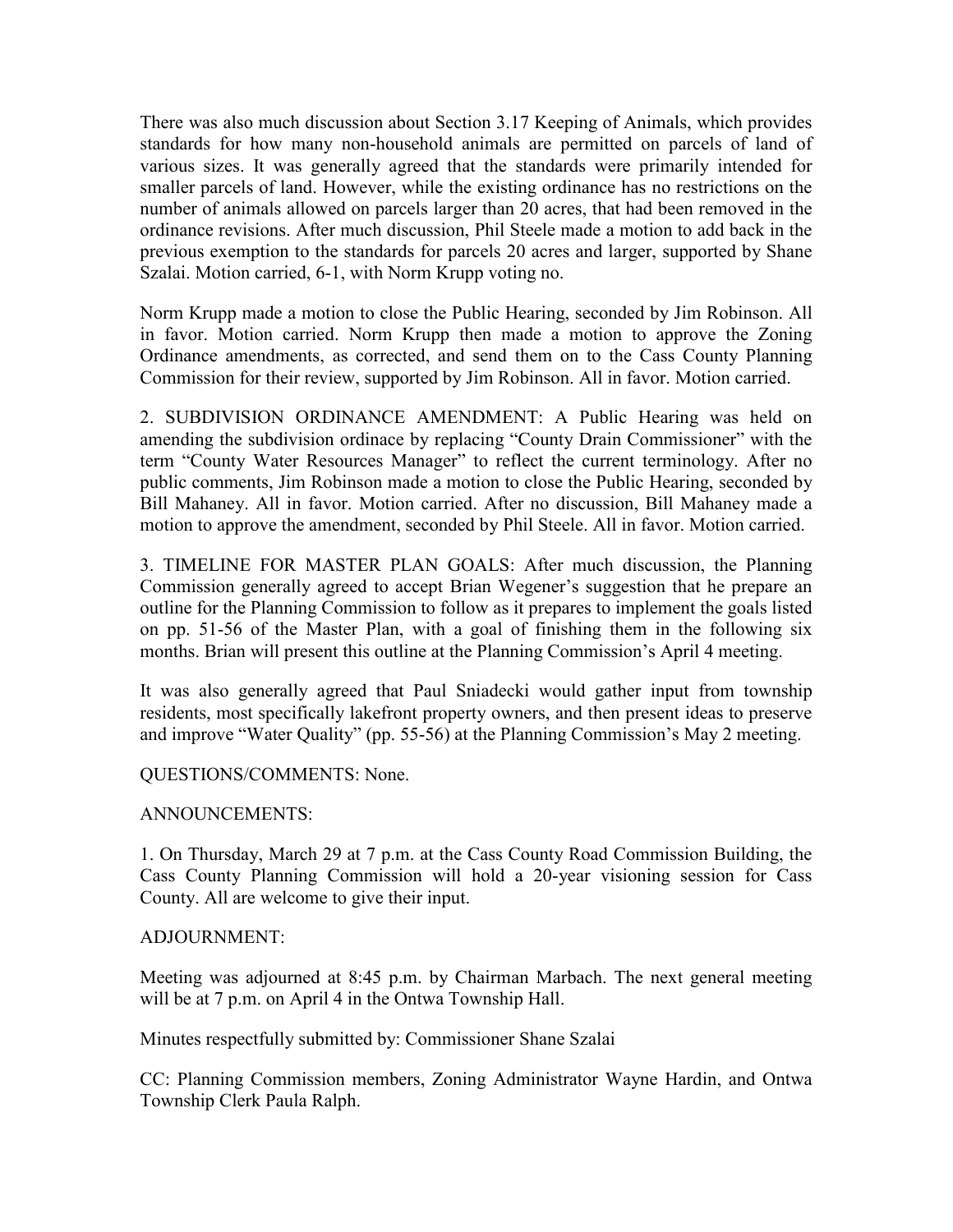There was also much discussion about Section 3.17 Keeping of Animals, which provides standards for how many non-household animals are permitted on parcels of land of various sizes. It was generally agreed that the standards were primarily intended for smaller parcels of land. However, while the existing ordinance has no restrictions on the number of animals allowed on parcels larger than 20 acres, that had been removed in the ordinance revisions. After much discussion, Phil Steele made a motion to add back in the previous exemption to the standards for parcels 20 acres and larger, supported by Shane Szalai. Motion carried, 6-1, with Norm Krupp voting no.

Norm Krupp made a motion to close the Public Hearing, seconded by Jim Robinson. All in favor. Motion carried. Norm Krupp then made a motion to approve the Zoning Ordinance amendments, as corrected, and send them on to the Cass County Planning Commission for their review, supported by Jim Robinson. All in favor. Motion carried.

2. SUBDIVISION ORDINANCE AMENDMENT: A Public Hearing was held on amending the subdivision ordinace by replacing "County Drain Commissioner" with the term "County Water Resources Manager" to reflect the current terminology. After no public comments, Jim Robinson made a motion to close the Public Hearing, seconded by Bill Mahaney. All in favor. Motion carried. After no discussion, Bill Mahaney made a motion to approve the amendment, seconded by Phil Steele. All in favor. Motion carried.

3. TIMELINE FOR MASTER PLAN GOALS: After much discussion, the Planning Commission generally agreed to accept Brian Wegener's suggestion that he prepare an outline for the Planning Commission to follow as it prepares to implement the goals listed on pp. 51-56 of the Master Plan, with a goal of finishing them in the following six months. Brian will present this outline at the Planning Commission's April 4 meeting.

It was also generally agreed that Paul Sniadecki would gather input from township residents, most specifically lakefront property owners, and then present ideas to preserve and improve "Water Quality" (pp. 55-56) at the Planning Commission's May 2 meeting.

QUESTIONS/COMMENTS: None.

# ANNOUNCEMENTS:

1. On Thursday, March 29 at 7 p.m. at the Cass County Road Commission Building, the Cass County Planning Commission will hold a 20-year visioning session for Cass County. All are welcome to give their input.

# ADJOURNMENT:

Meeting was adjourned at 8:45 p.m. by Chairman Marbach. The next general meeting will be at 7 p.m. on April 4 in the Ontwa Township Hall.

Minutes respectfully submitted by: Commissioner Shane Szalai

CC: Planning Commission members, Zoning Administrator Wayne Hardin, and Ontwa Township Clerk Paula Ralph.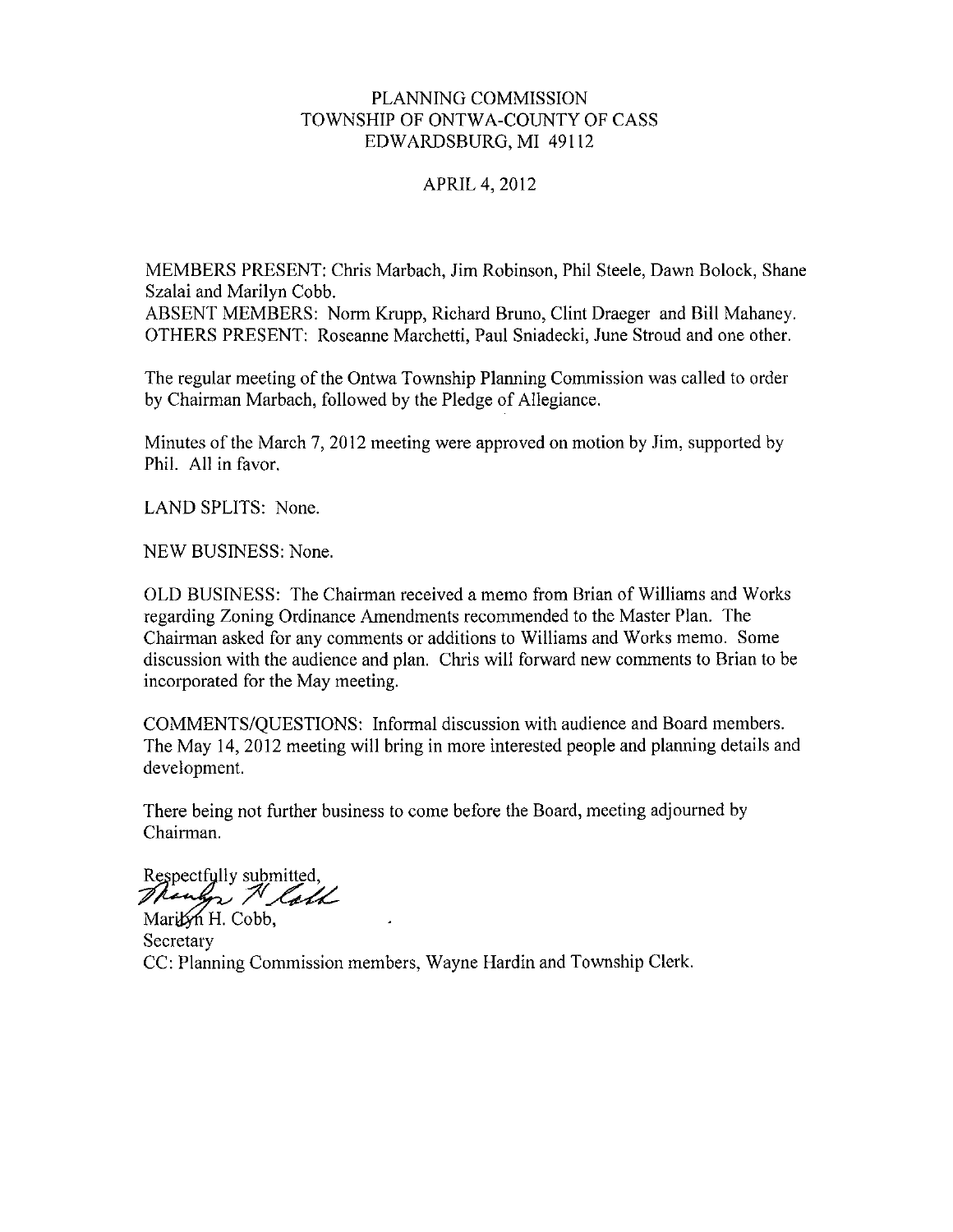## PLANNING COMMISSION TOWNSHIP OF ONTWA-COUNTY OF CASS EDWARDSBURG, MI 49112

## **APRIL 4, 2012**

MEMBERS PRESENT: Chris Marbach, Jim Robinson, Phil Steele, Dawn Bolock, Shane Szalai and Marilyn Cobb.

ABSENT MEMBERS: Norm Krupp, Richard Bruno, Clint Draeger and Bill Mahaney. OTHERS PRESENT: Roseanne Marchetti, Paul Sniadecki, June Stroud and one other.

The regular meeting of the Ontwa Township Planning Commission was called to order by Chairman Marbach, followed by the Pledge of Allegiance.

Minutes of the March 7, 2012 meeting were approved on motion by Jim, supported by Phil. All in favor.

LAND SPLITS: None.

NEW BUSINESS: None.

OLD BUSINESS: The Chairman received a memo from Brian of Williams and Works regarding Zoning Ordinance Amendments recommended to the Master Plan. The Chairman asked for any comments or additions to Williams and Works memo. Some discussion with the audience and plan. Chris will forward new comments to Brian to be incorporated for the May meeting.

COMMENTS/QUESTIONS: Informal discussion with audience and Board members. The May 14, 2012 meeting will bring in more interested people and planning details and development.

There being not further business to come before the Board, meeting adjourned by Chairman.

Respectfully submitted, Though N loth Maribyn H. Cobb.

Secretary CC: Planning Commission members, Wayne Hardin and Township Clerk.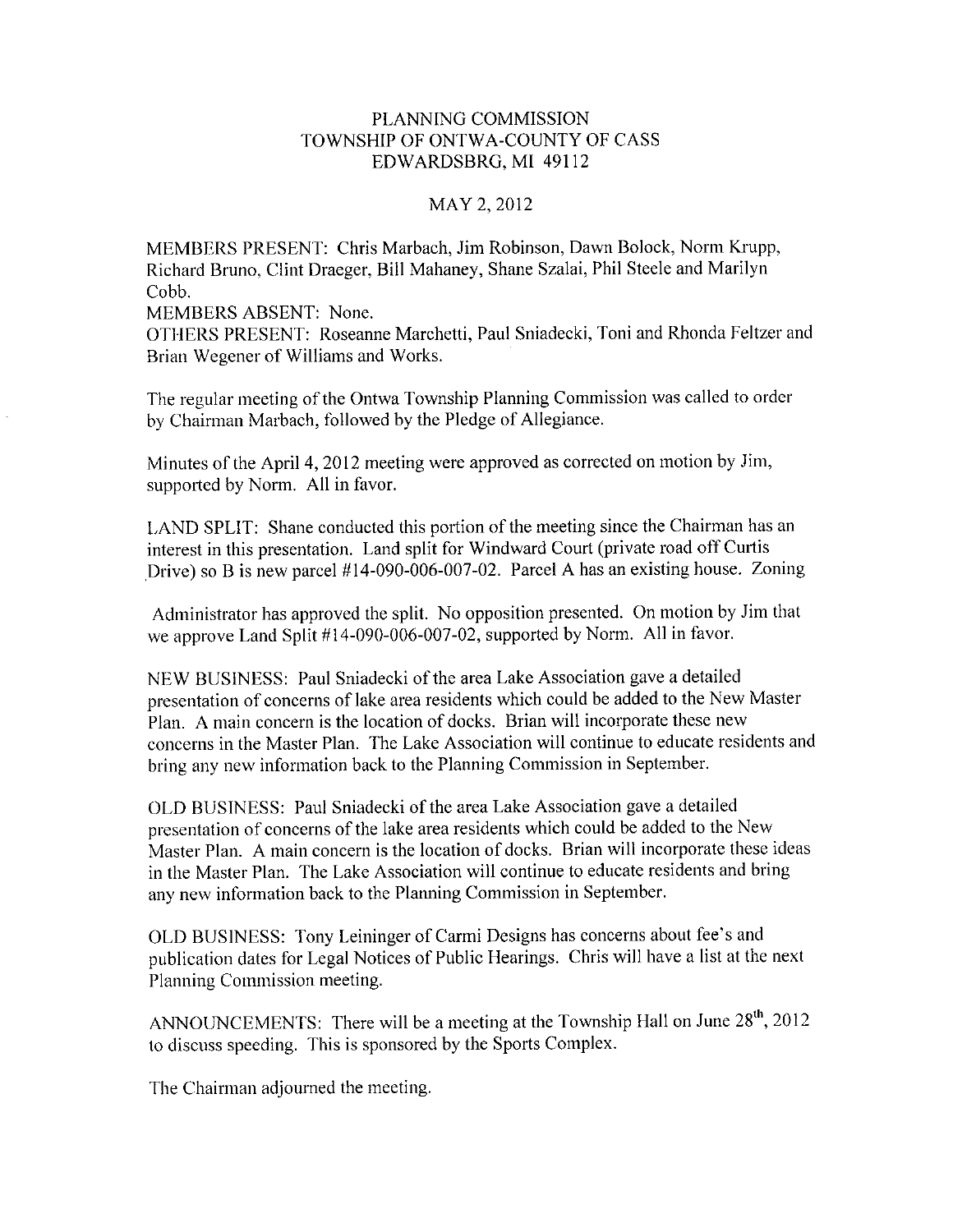## PLANNING COMMISSION TOWNSHIP OF ONTWA-COUNTY OF CASS EDWARDSBRG, MI 49112

## MAY 2, 2012

MEMBERS PRESENT: Chris Marbach, Jim Robinson, Dawn Bolock, Norm Krupp, Richard Bruno, Clint Draeger, Bill Mahaney, Shane Szalai, Phil Steele and Marilyn Cobb.

**MEMBERS ABSENT: None.** 

OTHERS PRESENT: Roseanne Marchetti, Paul Sniadecki, Toni and Rhonda Feltzer and Brian Wegener of Williams and Works.

The regular meeting of the Ontwa Township Planning Commission was called to order by Chairman Marbach, followed by the Pledge of Allegiance.

Minutes of the April 4, 2012 meeting were approved as corrected on motion by Jim, supported by Norm. All in favor.

LAND SPLIT: Shane conducted this portion of the meeting since the Chairman has an interest in this presentation. Land split for Windward Court (private road off Curtis Drive) so B is new parcel  $#14-090-006-007-02$ . Parcel A has an existing house. Zoning

Administrator has approved the split. No opposition presented. On motion by Jim that we approve Land Split #14-090-006-007-02, supported by Norm. All in favor.

NEW BUSINESS: Paul Sniadecki of the area Lake Association gave a detailed presentation of concerns of lake area residents which could be added to the New Master Plan. A main concern is the location of docks. Brian will incorporate these new concerns in the Master Plan. The Lake Association will continue to educate residents and bring any new information back to the Planning Commission in September.

OLD BUSINESS: Paul Sniadecki of the area Lake Association gave a detailed presentation of concerns of the lake area residents which could be added to the New Master Plan. A main concern is the location of docks. Brian will incorporate these ideas in the Master Plan. The Lake Association will continue to educate residents and bring any new information back to the Planning Commission in September.

OLD BUSINESS: Tony Leininger of Carmi Designs has concerns about fee's and publication dates for Legal Notices of Public Hearings. Chris will have a list at the next Planning Commission meeting.

ANNOUNCEMENTS: There will be a meeting at the Township Hall on June 28<sup>th</sup>, 2012 to discuss speeding. This is sponsored by the Sports Complex.

The Chairman adjourned the meeting.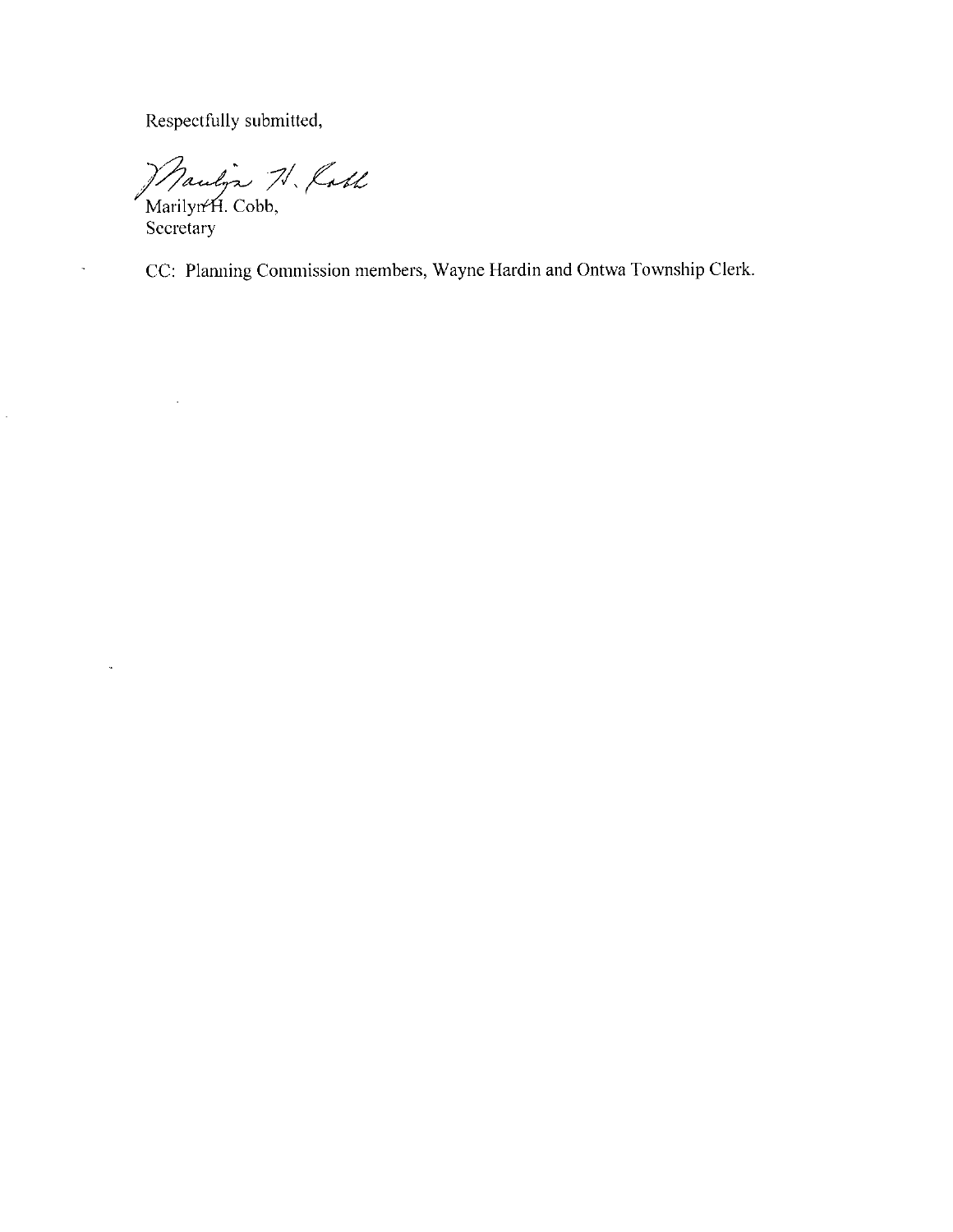Respectfully submitted,

Maulyn N. Koll

Secretary

 $\ddot{\phantom{a}}$ 

J.

 $\frac{1}{\sqrt{2}}$ 

CC: Planning Commission members, Wayne Hardin and Ontwa Township Clerk.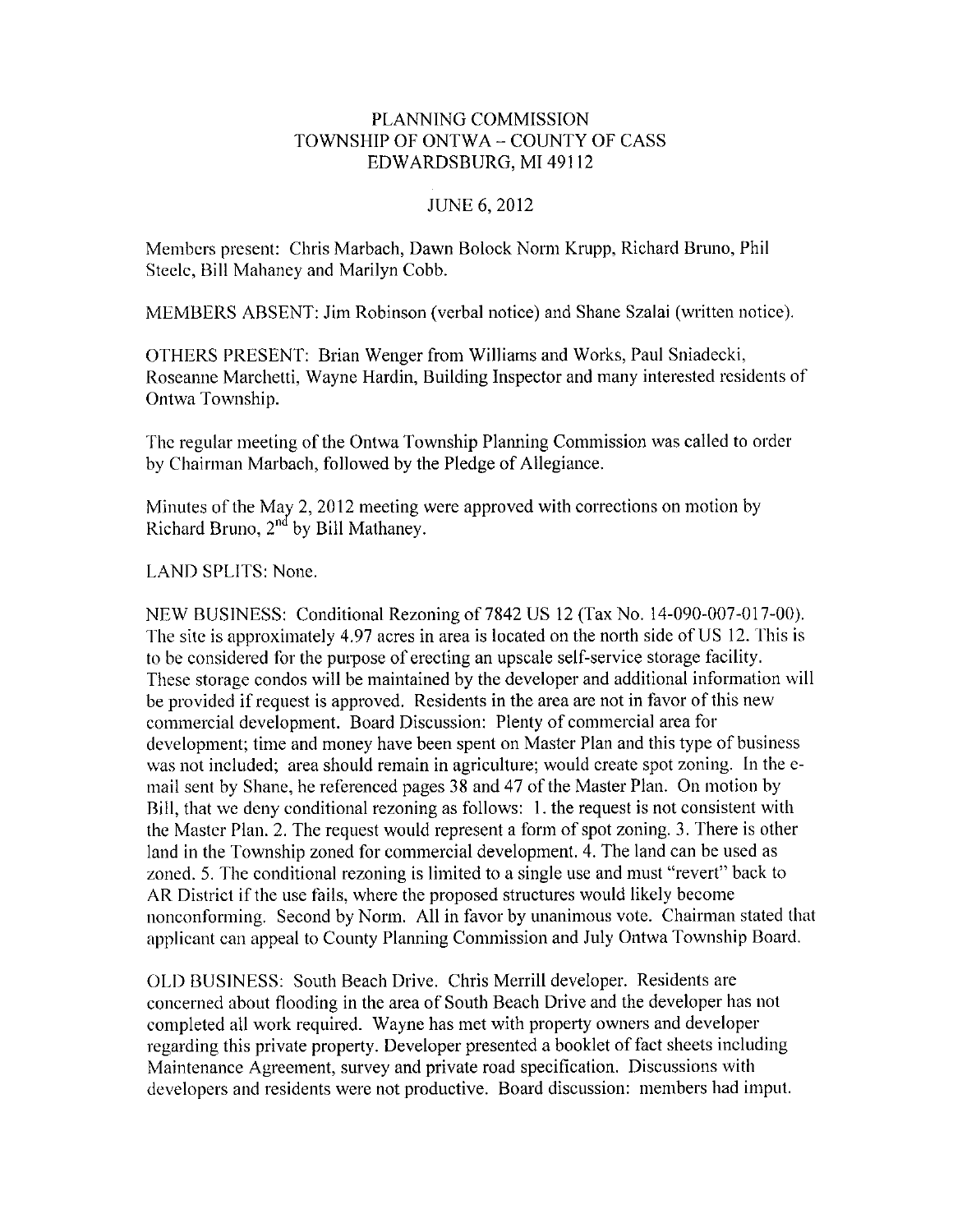## PLANNING COMMISSION TOWNSHIP OF ONTWA - COUNTY OF CASS EDWARDSBURG, MI 49112

## **JUNE 6, 2012**

Members present: Chris Marbach, Dawn Bolock Norm Krupp, Richard Bruno, Phil Steele, Bill Mahaney and Marilyn Cobb.

MEMBERS ABSENT: Jim Robinson (verbal notice) and Shane Szalai (written notice).

OTHERS PRESENT: Brian Wenger from Williams and Works, Paul Sniadecki, Roseanne Marchetti, Wayne Hardin, Building Inspector and many interested residents of Ontwa Township.

The regular meeting of the Ontwa Township Planning Commission was called to order by Chairman Marbach, followed by the Pledge of Allegiance.

Minutes of the May 2, 2012 meeting were approved with corrections on motion by Richard Bruno, 2<sup>nd</sup> by Bill Mathaney.

### **LAND SPLITS: None.**

NEW BUSINESS: Conditional Rezoning of 7842 US 12 (Tax No. 14-090-007-017-00). The site is approximately 4.97 acres in area is located on the north side of US 12. This is to be considered for the purpose of erecting an upscale self-service storage facility. These storage condos will be maintained by the developer and additional information will be provided if request is approved. Residents in the area are not in favor of this new commercial development. Board Discussion: Plenty of commercial area for development; time and money have been spent on Master Plan and this type of business was not included; area should remain in agriculture; would create spot zoning. In the email sent by Shane, he referenced pages 38 and 47 of the Master Plan. On motion by Bill, that we deny conditional rezoning as follows: 1. the request is not consistent with the Master Plan. 2. The request would represent a form of spot zoning. 3. There is other land in the Township zoned for commercial development. 4. The land can be used as zoned. 5. The conditional rezoning is limited to a single use and must "revert" back to AR District if the use fails, where the proposed structures would likely become nonconforming. Second by Norm. All in favor by unanimous vote. Chairman stated that applicant can appeal to County Planning Commission and July Ontwa Township Board.

OLD BUSINESS: South Beach Drive. Chris Merrill developer. Residents are concerned about flooding in the area of South Beach Drive and the developer has not completed all work required. Wayne has met with property owners and developer regarding this private property. Developer presented a booklet of fact sheets including Maintenance Agreement, survey and private road specification. Discussions with developers and residents were not productive. Board discussion: members had imput.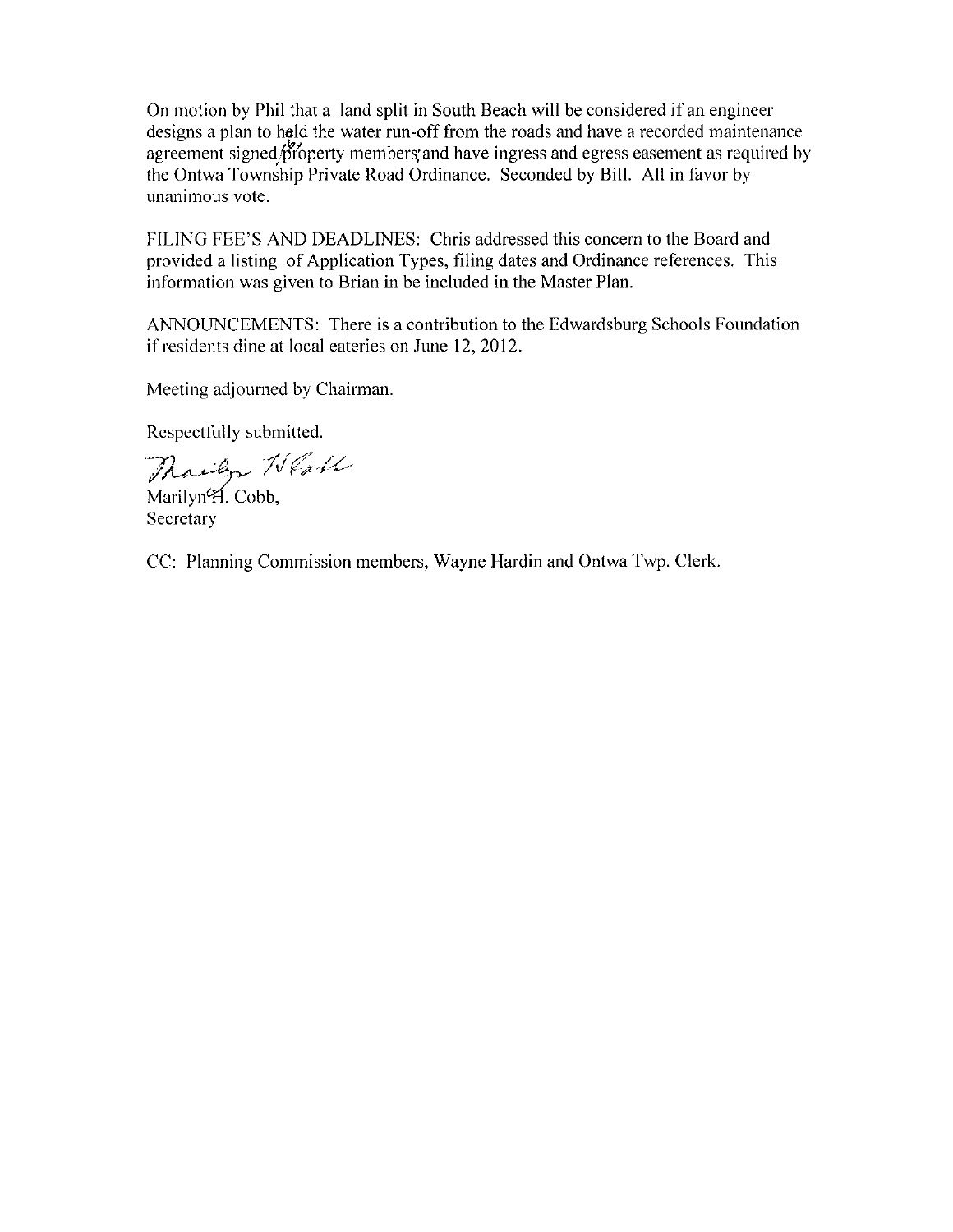On motion by Phil that a land split in South Beach will be considered if an engineer designs a plan to held the water run-off from the roads and have a recorded maintenance agreement signed/property members and have ingress and egress easement as required by the Ontwa Township Private Road Ordinance. Seconded by Bill. All in favor by unanimous vote.

FILING FEE'S AND DEADLINES: Chris addressed this concern to the Board and provided a listing of Application Types, filing dates and Ordinance references. This information was given to Brian in be included in the Master Plan.

ANNOUNCEMENTS: There is a contribution to the Edwardsburg Schools Foundation if residents dine at local eateries on June 12, 2012.

Meeting adjourned by Chairman.

Respectfully submitted.

Marilyn Weath

Marilyn<sup>4</sup>H. Cobb, Secretary

CC: Planning Commission members, Wayne Hardin and Ontwa Twp. Clerk.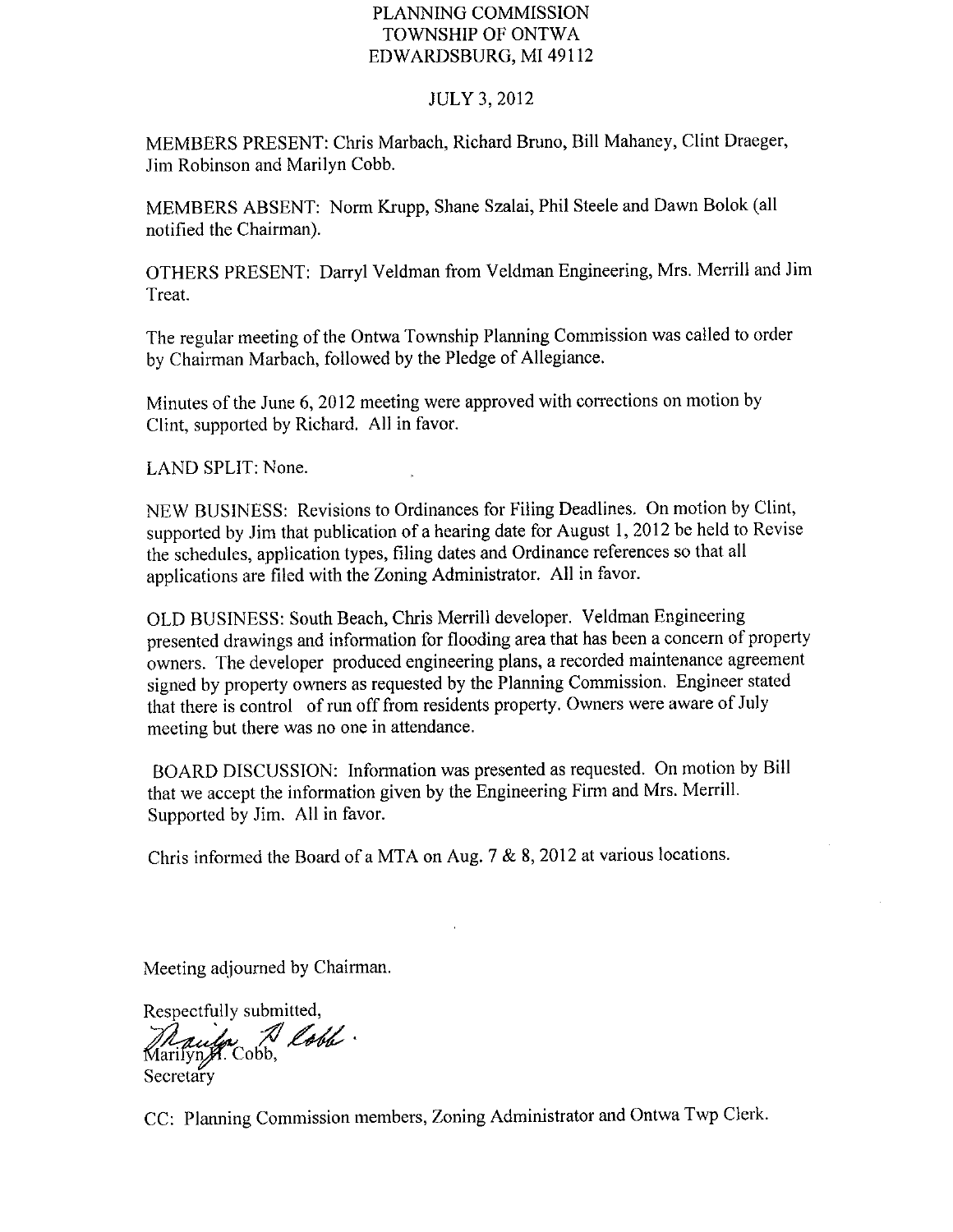## PLANNING COMMISSION TOWNSHIP OF ONTWA EDWARDSBURG, MI 49112

### **JULY 3, 2012**

MEMBERS PRESENT: Chris Marbach, Richard Bruno, Bill Mahaney, Clint Draeger, Jim Robinson and Marilyn Cobb.

MEMBERS ABSENT: Norm Krupp, Shane Szalai, Phil Steele and Dawn Bolok (all notified the Chairman).

OTHERS PRESENT: Darryl Veldman from Veldman Engineering, Mrs. Merrill and Jim Treat.

The regular meeting of the Ontwa Township Planning Commission was called to order by Chairman Marbach, followed by the Pledge of Allegiance.

Minutes of the June 6, 2012 meeting were approved with corrections on motion by Clint, supported by Richard. All in favor.

LAND SPLIT: None.

NEW BUSINESS: Revisions to Ordinances for Filing Deadlines. On motion by Clint, supported by Jim that publication of a hearing date for August 1, 2012 be held to Revise the schedules, application types, filing dates and Ordinance references so that all applications are filed with the Zoning Administrator. All in favor.

OLD BUSINESS: South Beach, Chris Merrill developer. Veldman Engineering presented drawings and information for flooding area that has been a concern of property owners. The developer produced engineering plans, a recorded maintenance agreement signed by property owners as requested by the Planning Commission. Engineer stated that there is control of run off from residents property. Owners were aware of July meeting but there was no one in attendance.

BOARD DISCUSSION: Information was presented as requested. On motion by Bill that we accept the information given by the Engineering Firm and Mrs. Merrill. Supported by Jim. All in favor.

Chris informed the Board of a MTA on Aug. 7 & 8, 2012 at various locations.

Meeting adjourned by Chairman.

Respectfully submitted, Maules A lobb.

CC: Planning Commission members, Zoning Administrator and Ontwa Twp Clerk.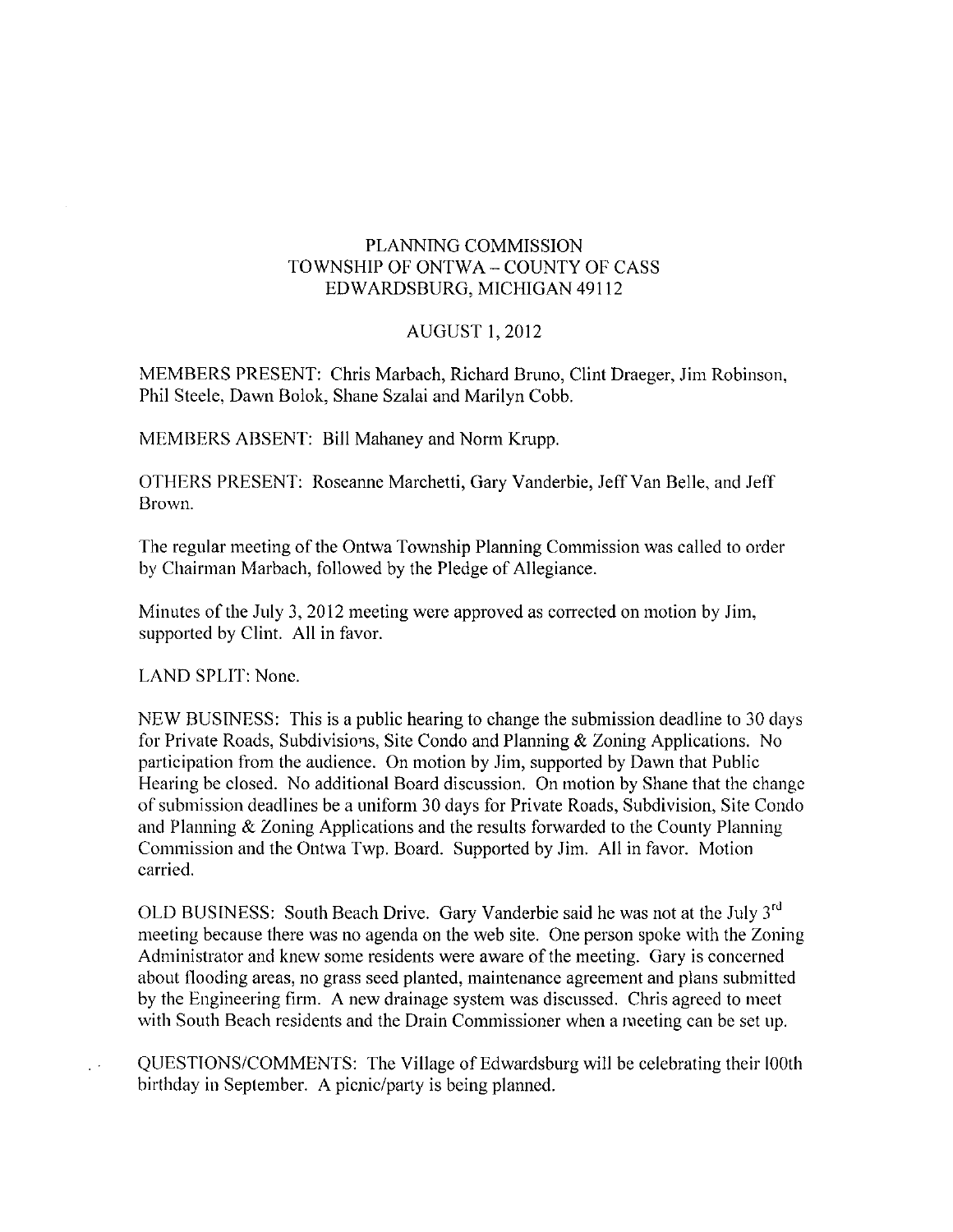## PLANNING COMMISSION TOWNSHIP OF ONTWA - COUNTY OF CASS EDWARDSBURG, MICHIGAN 49112

## **AUGUST 1, 2012**

MEMBERS PRESENT: Chris Marbach, Richard Bruno, Clint Draeger, Jim Robinson, Phil Steele, Dawn Bolok, Shane Szalai and Marilyn Cobb.

MEMBERS ABSENT: Bill Mahaney and Norm Krupp.

OTHERS PRESENT: Roseanne Marchetti, Gary Vanderbie, Jeff Van Belle, and Jeff Brown.

The regular meeting of the Ontwa Township Planning Commission was called to order by Chairman Marbach, followed by the Pledge of Allegiance.

Minutes of the July 3, 2012 meeting were approved as corrected on motion by Jim, supported by Clint. All in favor.

LAND SPLIT: None.

NEW BUSINESS: This is a public hearing to change the submission deadline to 30 days for Private Roads, Subdivisions, Site Condo and Planning & Zoning Applications. No participation from the audience. On motion by Jim, supported by Dawn that Public Hearing be closed. No additional Board discussion. On motion by Shane that the change of submission deadlines be a uniform 30 days for Private Roads, Subdivision, Site Condo and Planning  $&$  Zoning Applications and the results forwarded to the County Planning Commission and the Ontwa Twp. Board. Supported by Jim. All in favor. Motion carried.

OLD BUSINESS: South Beach Drive. Gary Vanderbie said he was not at the July 3rd meeting because there was no agenda on the web site. One person spoke with the Zoning Administrator and knew some residents were aware of the meeting. Gary is concerned about flooding areas, no grass seed planted, maintenance agreement and plans submitted by the Engineering firm. A new drainage system was discussed. Chris agreed to meet with South Beach residents and the Drain Commissioner when a meeting can be set up.

QUESTIONS/COMMENTS: The Village of Edwardsburg will be celebrating their l00th birthday in September. A picnic/party is being planned.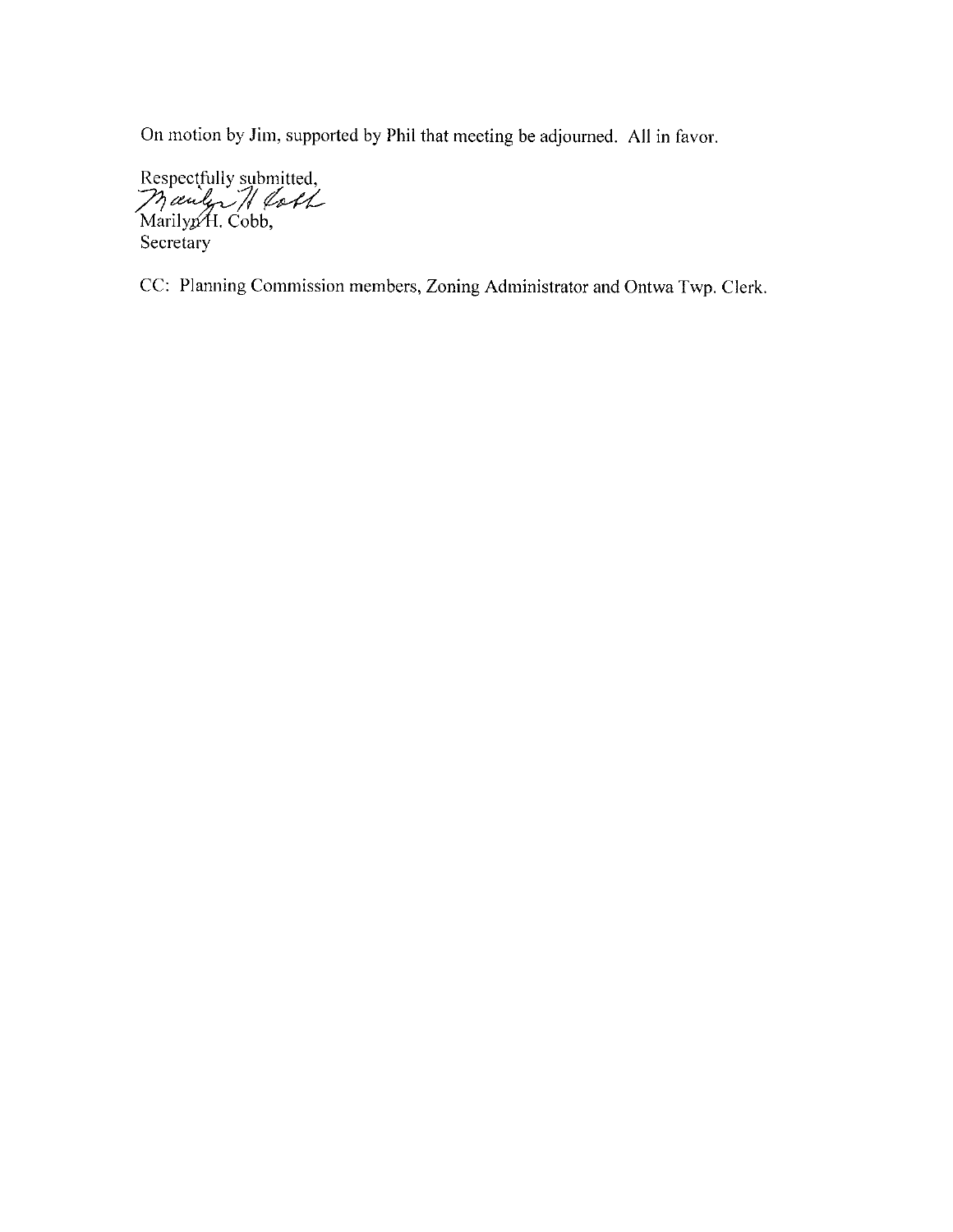On motion by Jim, supported by Phil that meeting be adjourned. All in favor.

Respectfully submitted,<br>ManilypH. Cobb, Secretary

CC: Planning Commission members, Zoning Administrator and Ontwa Twp. Clerk.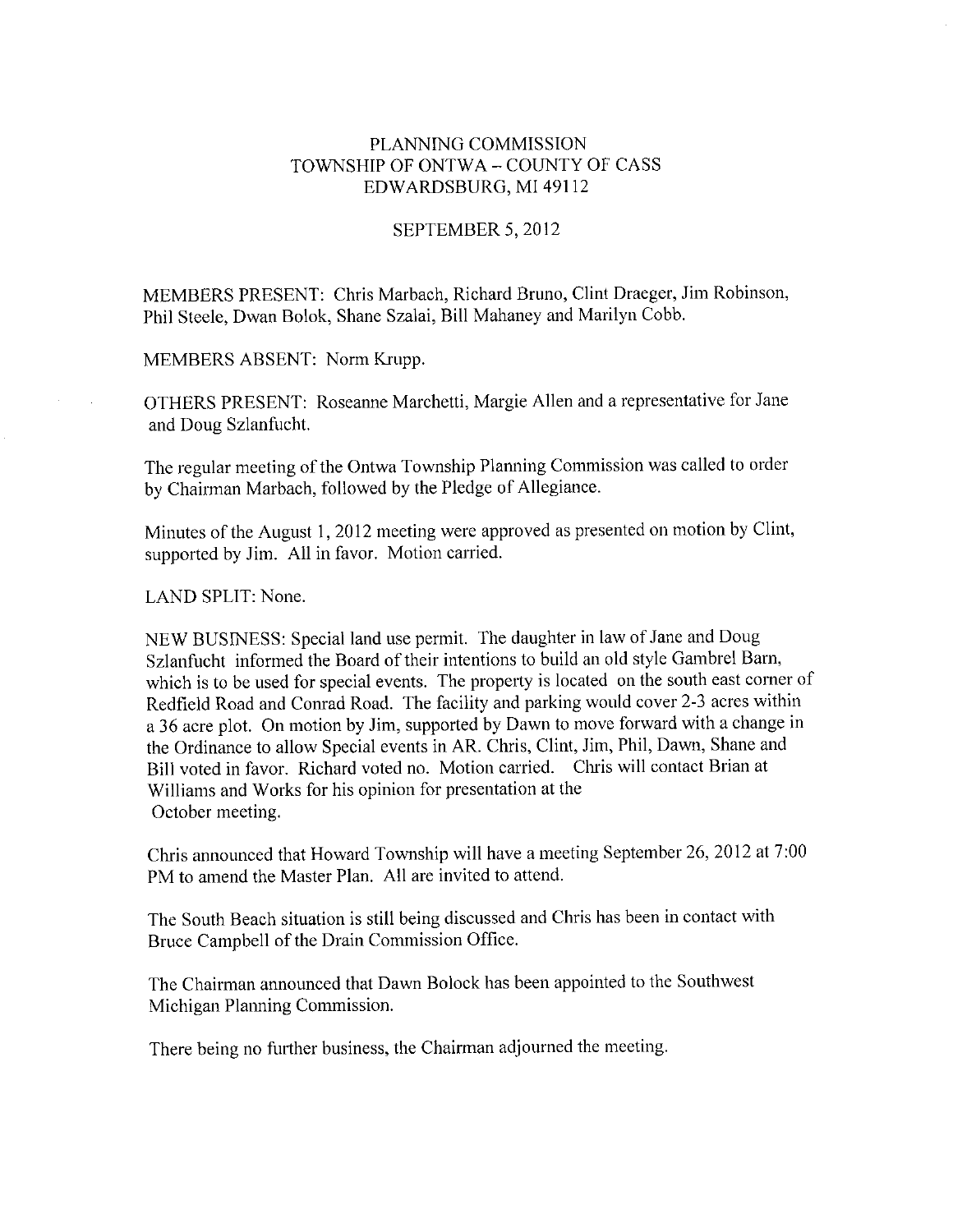## PLANNING COMMISSION TOWNSHIP OF ONTWA - COUNTY OF CASS EDWARDSBURG, MI 49112

### SEPTEMBER 5, 2012

MEMBERS PRESENT: Chris Marbach, Richard Bruno, Clint Draeger, Jim Robinson, Phil Steele, Dwan Bolok, Shane Szalai, Bill Mahaney and Marilyn Cobb.

MEMBERS ABSENT: Norm Krupp.

OTHERS PRESENT: Roseanne Marchetti, Margie Allen and a representative for Jane and Doug Szlanfucht.

The regular meeting of the Ontwa Township Planning Commission was called to order by Chairman Marbach, followed by the Pledge of Allegiance.

Minutes of the August 1, 2012 meeting were approved as presented on motion by Clint, supported by Jim. All in favor. Motion carried.

LAND SPLIT: None.

NEW BUSINESS: Special land use permit. The daughter in law of Jane and Doug Szlanfucht informed the Board of their intentions to build an old style Gambrel Barn, which is to be used for special events. The property is located on the south east corner of Redfield Road and Conrad Road. The facility and parking would cover 2-3 acres within a 36 acre plot. On motion by Jim, supported by Dawn to move forward with a change in the Ordinance to allow Special events in AR. Chris, Clint, Jim, Phil, Dawn, Shane and Bill voted in favor. Richard voted no. Motion carried. Chris will contact Brian at Williams and Works for his opinion for presentation at the October meeting.

Chris announced that Howard Township will have a meeting September 26, 2012 at 7:00 PM to amend the Master Plan. All are invited to attend.

The South Beach situation is still being discussed and Chris has been in contact with Bruce Campbell of the Drain Commission Office.

The Chairman announced that Dawn Bolock has been appointed to the Southwest Michigan Planning Commission.

There being no further business, the Chairman adjourned the meeting.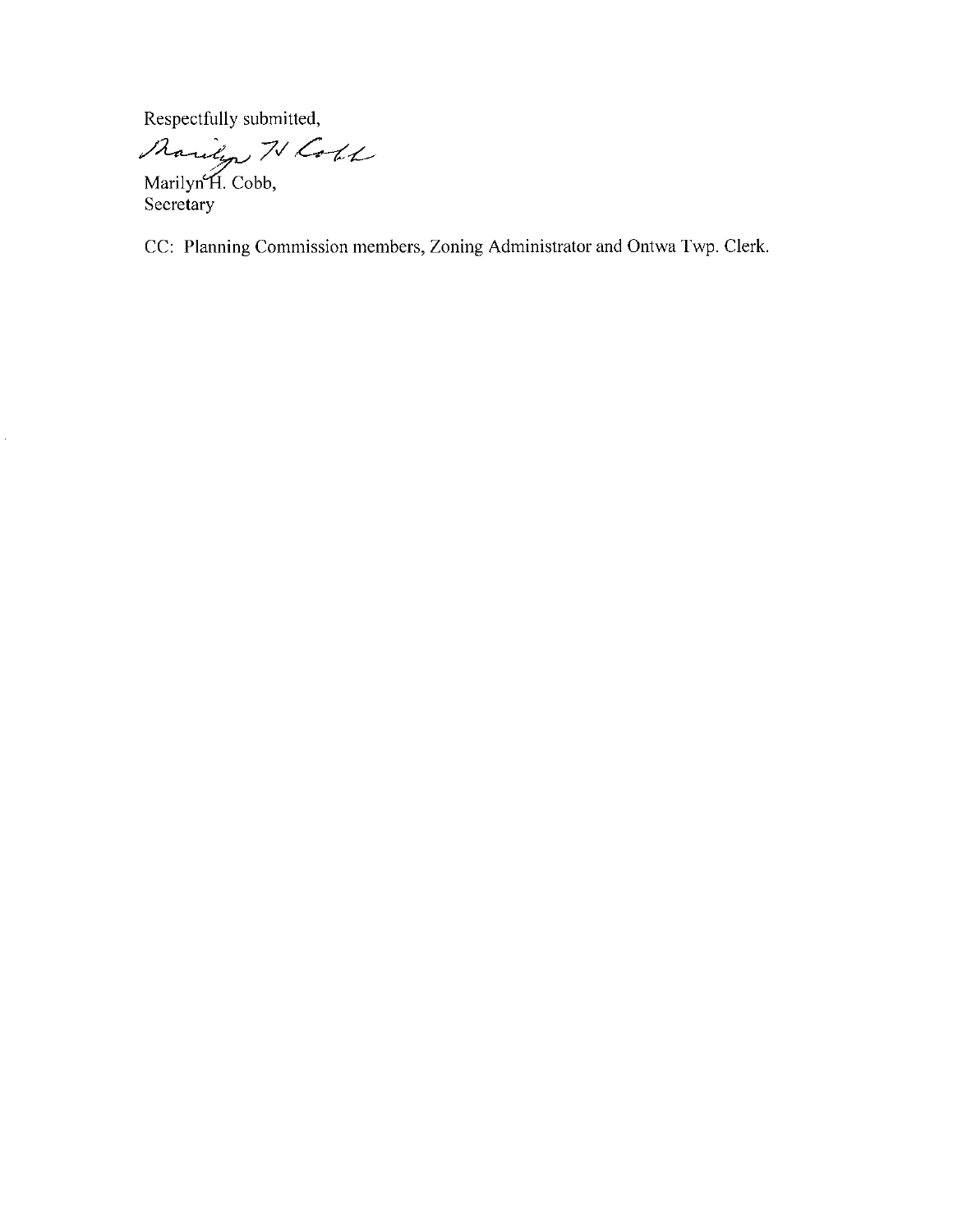Respectfully submitted,

Raudyn N Coll

CC: Planning Commission members, Zoning Administrator and Ontwa Twp. Clerk.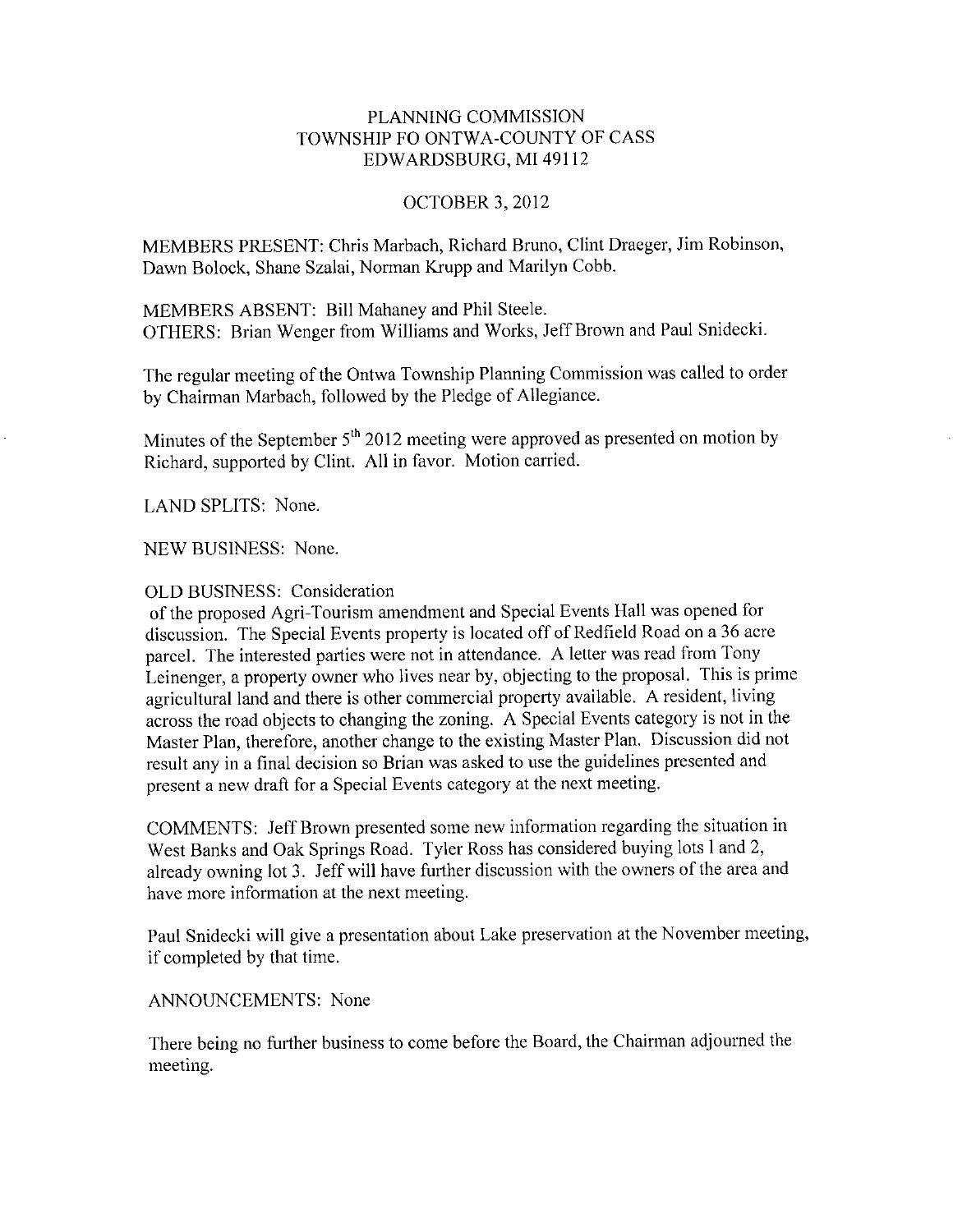## PLANNING COMMISSION TOWNSHIP FO ONTWA-COUNTY OF CASS EDWARDSBURG, MI 49112

## **OCTOBER 3, 2012**

MEMBERS PRESENT: Chris Marbach, Richard Bruno, Clint Draeger, Jim Robinson, Dawn Bolock, Shane Szalai, Norman Krupp and Marilyn Cobb.

MEMBERS ABSENT: Bill Mahaney and Phil Steele. OTHERS: Brian Wenger from Williams and Works, Jeff Brown and Paul Snidecki.

The regular meeting of the Ontwa Township Planning Commission was called to order by Chairman Marbach, followed by the Pledge of Allegiance.

Minutes of the September 5<sup>th</sup> 2012 meeting were approved as presented on motion by Richard, supported by Clint. All in favor. Motion carried.

LAND SPLITS: None.

NEW BUSINESS: None.

### OLD BUSINESS: Consideration

of the proposed Agri-Tourism amendment and Special Events Hall was opened for discussion. The Special Events property is located off of Redfield Road on a 36 acre parcel. The interested parties were not in attendance. A letter was read from Tony Leinenger, a property owner who lives near by, objecting to the proposal. This is prime agricultural land and there is other commercial property available. A resident, living across the road objects to changing the zoning. A Special Events category is not in the Master Plan, therefore, another change to the existing Master Plan. Discussion did not result any in a final decision so Brian was asked to use the guidelines presented and present a new draft for a Special Events category at the next meeting.

COMMENTS: Jeff Brown presented some new information regarding the situation in West Banks and Oak Springs Road. Tyler Ross has considered buying lots l and 2, already owning lot 3. Jeff will have further discussion with the owners of the area and have more information at the next meeting.

Paul Snidecki will give a presentation about Lake preservation at the November meeting, if completed by that time.

#### **ANNOUNCEMENTS: None**

There being no further business to come before the Board, the Chairman adjourned the meeting.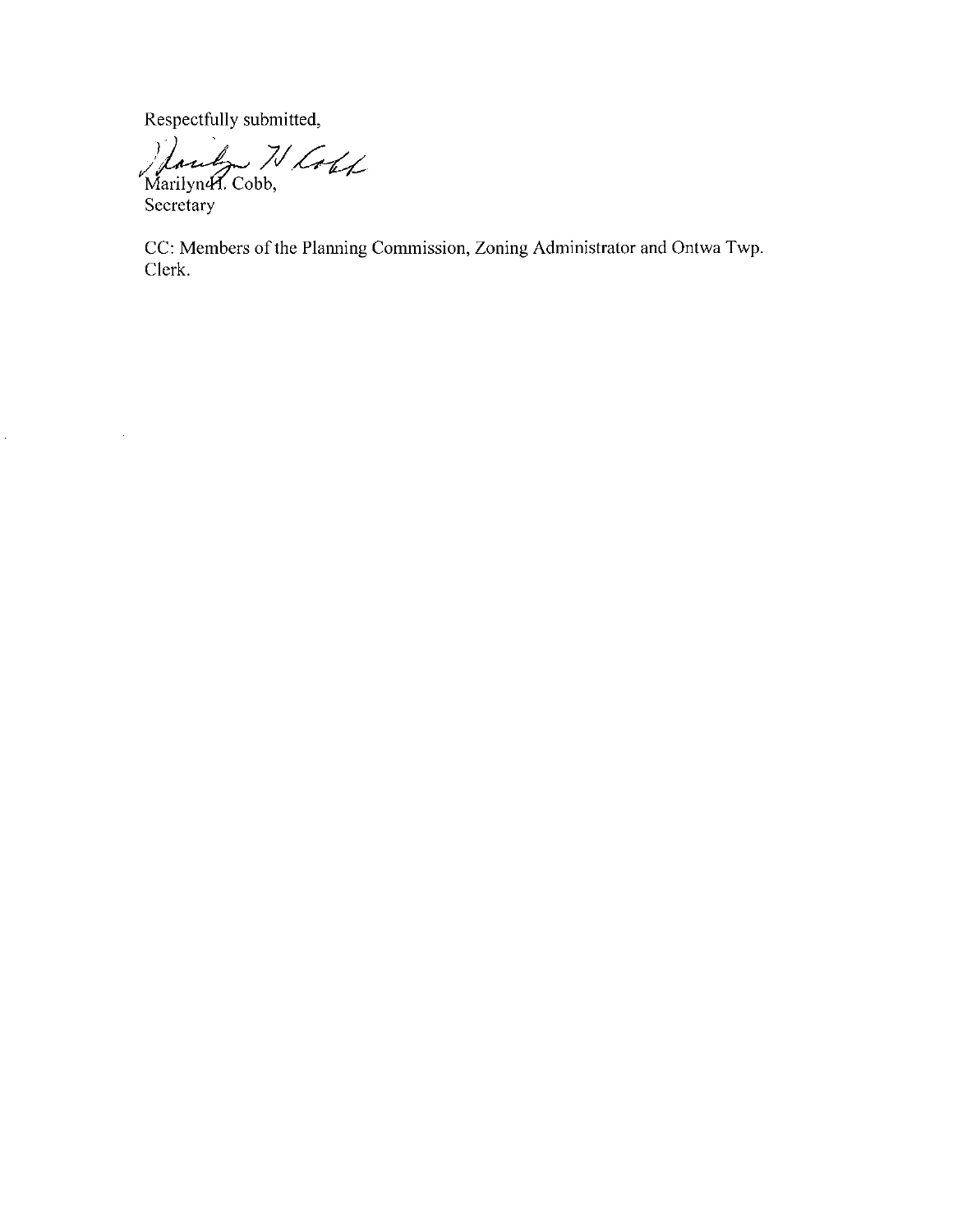Respectfully submitted,

Handy N Loux

Secretary

Ŷ,

 $\hat{\mathcal{E}}$ 

CC: Members of the Planning Commission, Zoning Administrator and Ontwa Twp. Clerk.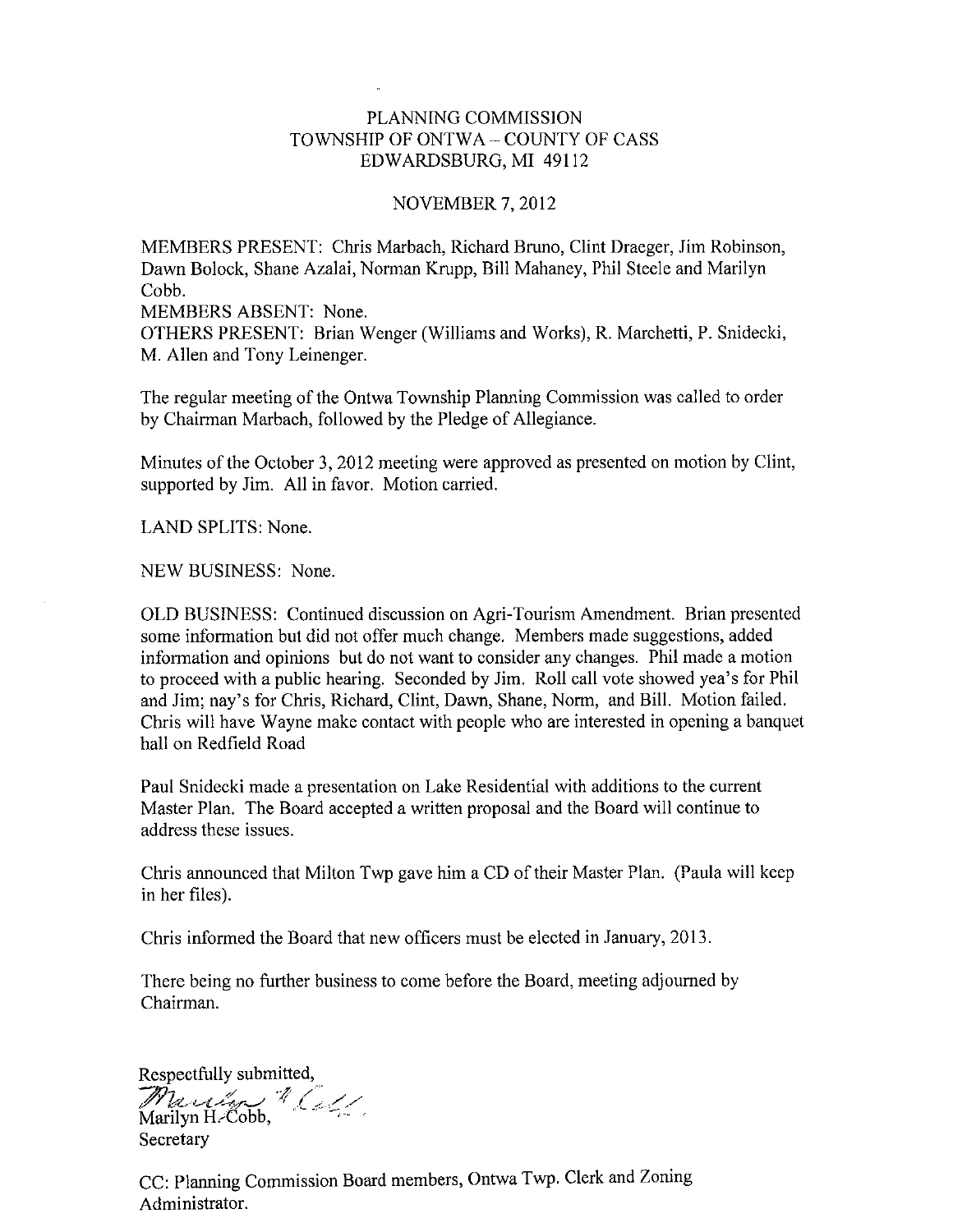## PLANNING COMMISSION TOWNSHIP OF ONTWA - COUNTY OF CASS EDWARDSBURG, MI 49112

#### **NOVEMBER 7, 2012**

MEMBERS PRESENT: Chris Marbach, Richard Bruno, Clint Draeger, Jim Robinson, Dawn Bolock, Shane Azalai, Norman Krupp, Bill Mahaney, Phil Steele and Marilyn Cobb.

MEMBERS ABSENT: None.

OTHERS PRESENT: Brian Wenger (Williams and Works), R. Marchetti, P. Snidecki, M. Allen and Tony Leinenger.

The regular meeting of the Ontwa Township Planning Commission was called to order by Chairman Marbach, followed by the Pledge of Allegiance.

Minutes of the October 3, 2012 meeting were approved as presented on motion by Clint, supported by Jim. All in favor. Motion carried.

LAND SPLITS: None.

NEW BUSINESS: None.

OLD BUSINESS: Continued discussion on Agri-Tourism Amendment. Brian presented some information but did not offer much change. Members made suggestions, added information and opinions but do not want to consider any changes. Phil made a motion to proceed with a public hearing. Seconded by Jim. Roll call vote showed yea's for Phil and Jim; nay's for Chris, Richard, Clint, Dawn, Shane, Norm, and Bill. Motion failed. Chris will have Wayne make contact with people who are interested in opening a banquet hall on Redfield Road

Paul Snidecki made a presentation on Lake Residential with additions to the current Master Plan. The Board accepted a written proposal and the Board will continue to address these issues.

Chris announced that Milton Twp gave him a CD of their Master Plan. (Paula will keep in her files).

Chris informed the Board that new officers must be elected in January, 2013.

There being no further business to come before the Board, meeting adjourned by Chairman.

Respectfully submitted,

March & Coll Secretary

CC: Planning Commission Board members, Ontwa Twp. Clerk and Zoning Administrator.